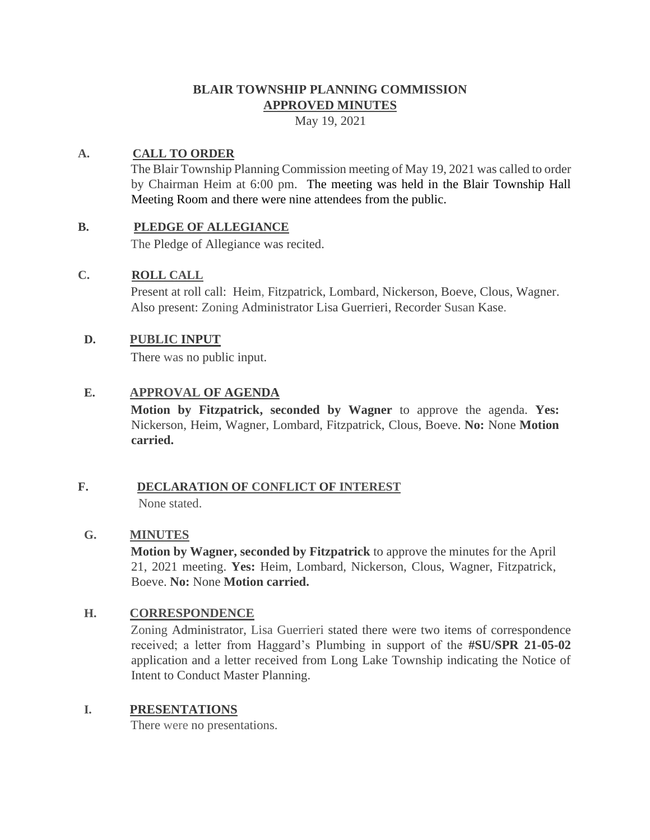## **BLAIR TOWNSHIP PLANNING COMMISSION APPROVED MINUTES**

May 19, 2021

## **A. CALL TO ORDER**

The Blair Township Planning Commission meeting of May 19, 2021 was called to order by Chairman Heim at 6:00 pm. The meeting was held in the Blair Township Hall Meeting Room and there were nine attendees from the public.

#### **B. PLEDGE OF ALLEGIANCE**

The Pledge of Allegiance was recited.

#### **C. ROLL CALL**

Present at roll call: Heim, Fitzpatrick, Lombard, Nickerson, Boeve, Clous, Wagner. Also present: Zoning Administrator Lisa Guerrieri, Recorder Susan Kase.

#### **D. PUBLIC INPUT**

There was no public input.

## **E. APPROVAL OF AGENDA**

**Motion by Fitzpatrick, seconded by Wagner** to approve the agenda. **Yes:**  Nickerson, Heim, Wagner, Lombard, Fitzpatrick, Clous, Boeve. **No:** None **Motion carried.**

#### **F. DECLARATION OF CONFLICT OF INTEREST** None stated.

## **G. MINUTES**

**Motion by Wagner, seconded by Fitzpatrick** to approve the minutes for the April 21, 2021 meeting. **Yes:** Heim, Lombard, Nickerson, Clous, Wagner, Fitzpatrick, Boeve. **No:** None **Motion carried.**

## **H. CORRESPONDENCE**

Zoning Administrator, Lisa Guerrieri stated there were two items of correspondence received; a letter from Haggard's Plumbing in support of the **#SU/SPR 21-05-02** application and a letter received from Long Lake Township indicating the Notice of Intent to Conduct Master Planning.

#### **I. PRESENTATIONS**

There were no presentations.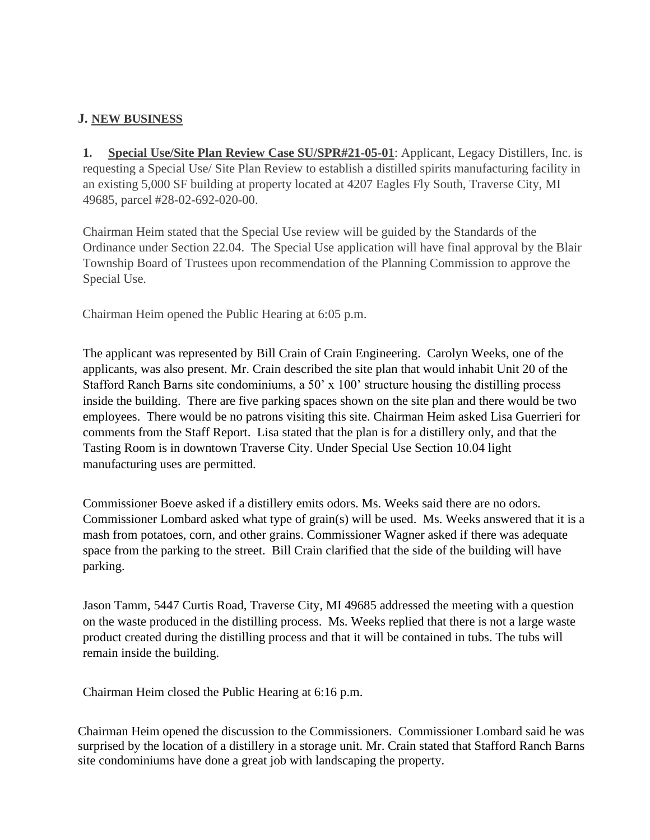## **J. NEW BUSINESS**

**1. Special Use/Site Plan Review Case SU/SPR#21-05-01**: Applicant, Legacy Distillers, Inc. is requesting a Special Use/ Site Plan Review to establish a distilled spirits manufacturing facility in an existing 5,000 SF building at property located at 4207 Eagles Fly South, Traverse City, MI 49685, parcel #28-02-692-020-00.

Chairman Heim stated that the Special Use review will be guided by the Standards of the Ordinance under Section 22.04. The Special Use application will have final approval by the Blair Township Board of Trustees upon recommendation of the Planning Commission to approve the Special Use.

Chairman Heim opened the Public Hearing at 6:05 p.m.

The applicant was represented by Bill Crain of Crain Engineering. Carolyn Weeks, one of the applicants, was also present. Mr. Crain described the site plan that would inhabit Unit 20 of the Stafford Ranch Barns site condominiums, a 50' x 100' structure housing the distilling process inside the building. There are five parking spaces shown on the site plan and there would be two employees. There would be no patrons visiting this site. Chairman Heim asked Lisa Guerrieri for comments from the Staff Report. Lisa stated that the plan is for a distillery only, and that the Tasting Room is in downtown Traverse City. Under Special Use Section 10.04 light manufacturing uses are permitted.

Commissioner Boeve asked if a distillery emits odors. Ms. Weeks said there are no odors. Commissioner Lombard asked what type of grain(s) will be used. Ms. Weeks answered that it is a mash from potatoes, corn, and other grains. Commissioner Wagner asked if there was adequate space from the parking to the street. Bill Crain clarified that the side of the building will have parking.

Jason Tamm, 5447 Curtis Road, Traverse City, MI 49685 addressed the meeting with a question on the waste produced in the distilling process. Ms. Weeks replied that there is not a large waste product created during the distilling process and that it will be contained in tubs. The tubs will remain inside the building.

Chairman Heim closed the Public Hearing at 6:16 p.m.

Chairman Heim opened the discussion to the Commissioners. Commissioner Lombard said he was surprised by the location of a distillery in a storage unit. Mr. Crain stated that Stafford Ranch Barns site condominiums have done a great job with landscaping the property.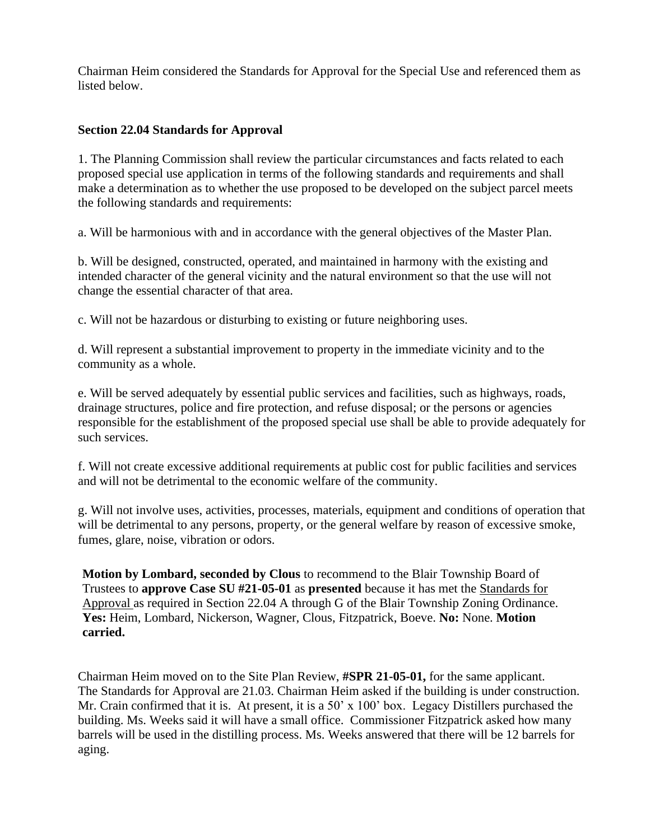Chairman Heim considered the Standards for Approval for the Special Use and referenced them as listed below.

#### **Section 22.04 Standards for Approval**

1. The Planning Commission shall review the particular circumstances and facts related to each proposed special use application in terms of the following standards and requirements and shall make a determination as to whether the use proposed to be developed on the subject parcel meets the following standards and requirements:

a. Will be harmonious with and in accordance with the general objectives of the Master Plan.

b. Will be designed, constructed, operated, and maintained in harmony with the existing and intended character of the general vicinity and the natural environment so that the use will not change the essential character of that area.

c. Will not be hazardous or disturbing to existing or future neighboring uses.

d. Will represent a substantial improvement to property in the immediate vicinity and to the community as a whole.

e. Will be served adequately by essential public services and facilities, such as highways, roads, drainage structures, police and fire protection, and refuse disposal; or the persons or agencies responsible for the establishment of the proposed special use shall be able to provide adequately for such services.

f. Will not create excessive additional requirements at public cost for public facilities and services and will not be detrimental to the economic welfare of the community.

g. Will not involve uses, activities, processes, materials, equipment and conditions of operation that will be detrimental to any persons, property, or the general welfare by reason of excessive smoke, fumes, glare, noise, vibration or odors.

**Motion by Lombard, seconded by Clous** to recommend to the Blair Township Board of Trustees to **approve Case SU #21-05-01** as **presented** because it has met the Standards for Approval as required in Section 22.04 A through G of the Blair Township Zoning Ordinance. **Yes:** Heim, Lombard, Nickerson, Wagner, Clous, Fitzpatrick, Boeve. **No:** None. **Motion carried.** 

Chairman Heim moved on to the Site Plan Review, **#SPR 21-05-01,** for the same applicant. The Standards for Approval are 21.03. Chairman Heim asked if the building is under construction. Mr. Crain confirmed that it is. At present, it is a 50' x 100' box. Legacy Distillers purchased the building. Ms. Weeks said it will have a small office. Commissioner Fitzpatrick asked how many barrels will be used in the distilling process. Ms. Weeks answered that there will be 12 barrels for aging.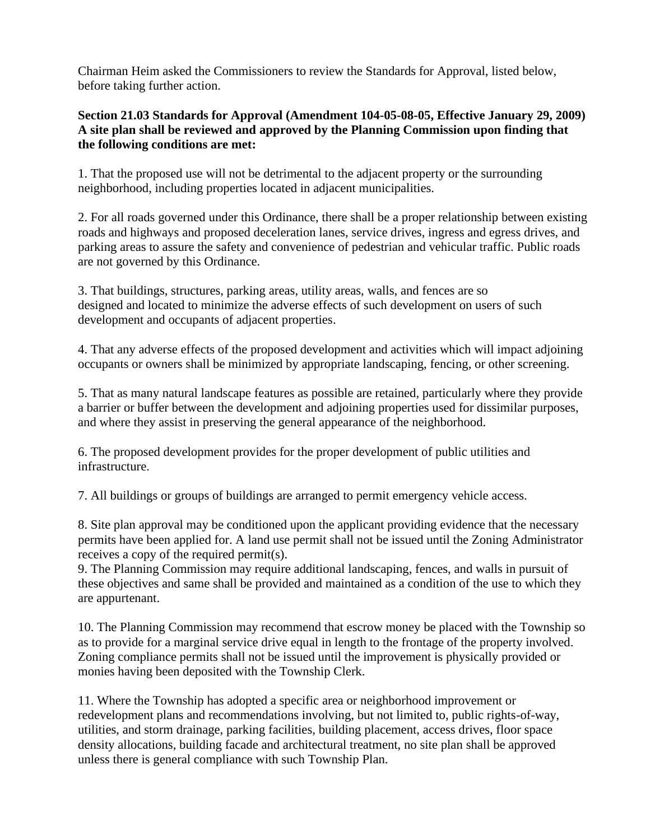Chairman Heim asked the Commissioners to review the Standards for Approval, listed below, before taking further action.

## **Section 21.03 Standards for Approval (Amendment 104-05-08-05, Effective January 29, 2009) A site plan shall be reviewed and approved by the Planning Commission upon finding that the following conditions are met:**

1. That the proposed use will not be detrimental to the adjacent property or the surrounding neighborhood, including properties located in adjacent municipalities.

2. For all roads governed under this Ordinance, there shall be a proper relationship between existing roads and highways and proposed deceleration lanes, service drives, ingress and egress drives, and parking areas to assure the safety and convenience of pedestrian and vehicular traffic. Public roads are not governed by this Ordinance.

3. That buildings, structures, parking areas, utility areas, walls, and fences are so designed and located to minimize the adverse effects of such development on users of such development and occupants of adjacent properties.

4. That any adverse effects of the proposed development and activities which will impact adjoining occupants or owners shall be minimized by appropriate landscaping, fencing, or other screening.

5. That as many natural landscape features as possible are retained, particularly where they provide a barrier or buffer between the development and adjoining properties used for dissimilar purposes, and where they assist in preserving the general appearance of the neighborhood.

6. The proposed development provides for the proper development of public utilities and infrastructure.

7. All buildings or groups of buildings are arranged to permit emergency vehicle access.

8. Site plan approval may be conditioned upon the applicant providing evidence that the necessary permits have been applied for. A land use permit shall not be issued until the Zoning Administrator receives a copy of the required permit(s).

9. The Planning Commission may require additional landscaping, fences, and walls in pursuit of these objectives and same shall be provided and maintained as a condition of the use to which they are appurtenant.

10. The Planning Commission may recommend that escrow money be placed with the Township so as to provide for a marginal service drive equal in length to the frontage of the property involved. Zoning compliance permits shall not be issued until the improvement is physically provided or monies having been deposited with the Township Clerk.

11. Where the Township has adopted a specific area or neighborhood improvement or redevelopment plans and recommendations involving, but not limited to, public rights-of-way, utilities, and storm drainage, parking facilities, building placement, access drives, floor space density allocations, building facade and architectural treatment, no site plan shall be approved unless there is general compliance with such Township Plan.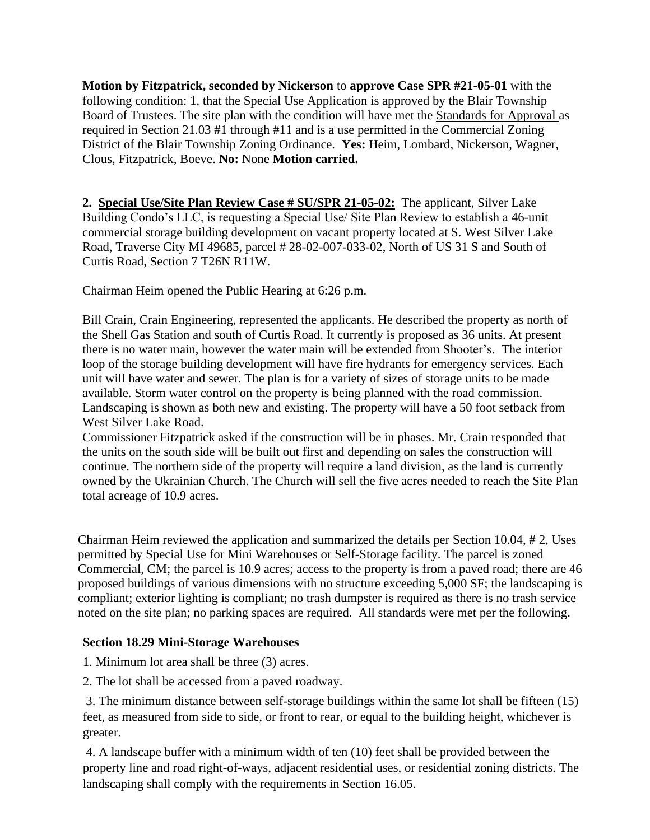**Motion by Fitzpatrick, seconded by Nickerson** to **approve Case SPR #21-05-01** with the following condition: 1, that the Special Use Application is approved by the Blair Township Board of Trustees. The site plan with the condition will have met the Standards for Approval as required in Section 21.03 #1 through #11 and is a use permitted in the Commercial Zoning District of the Blair Township Zoning Ordinance. **Yes:** Heim, Lombard, Nickerson, Wagner, Clous, Fitzpatrick, Boeve. **No:** None **Motion carried.** 

**2. Special Use/Site Plan Review Case # SU/SPR 21-05-02:** The applicant, Silver Lake Building Condo's LLC, is requesting a Special Use/ Site Plan Review to establish a 46-unit commercial storage building development on vacant property located at S. West Silver Lake Road, Traverse City MI 49685, parcel # 28-02-007-033-02, North of US 31 S and South of Curtis Road, Section 7 T26N R11W.

Chairman Heim opened the Public Hearing at 6:26 p.m.

Bill Crain, Crain Engineering, represented the applicants. He described the property as north of the Shell Gas Station and south of Curtis Road. It currently is proposed as 36 units. At present there is no water main, however the water main will be extended from Shooter's. The interior loop of the storage building development will have fire hydrants for emergency services. Each unit will have water and sewer. The plan is for a variety of sizes of storage units to be made available. Storm water control on the property is being planned with the road commission. Landscaping is shown as both new and existing. The property will have a 50 foot setback from West Silver Lake Road.

Commissioner Fitzpatrick asked if the construction will be in phases. Mr. Crain responded that the units on the south side will be built out first and depending on sales the construction will continue. The northern side of the property will require a land division, as the land is currently owned by the Ukrainian Church. The Church will sell the five acres needed to reach the Site Plan total acreage of 10.9 acres.

Chairman Heim reviewed the application and summarized the details per Section 10.04, # 2, Uses permitted by Special Use for Mini Warehouses or Self-Storage facility. The parcel is zoned Commercial, CM; the parcel is 10.9 acres; access to the property is from a paved road; there are 46 proposed buildings of various dimensions with no structure exceeding 5,000 SF; the landscaping is compliant; exterior lighting is compliant; no trash dumpster is required as there is no trash service noted on the site plan; no parking spaces are required. All standards were met per the following.

#### **Section 18.29 Mini-Storage Warehouses**

1. Minimum lot area shall be three (3) acres.

2. The lot shall be accessed from a paved roadway.

3. The minimum distance between self-storage buildings within the same lot shall be fifteen (15) feet, as measured from side to side, or front to rear, or equal to the building height, whichever is greater.

4. A landscape buffer with a minimum width of ten (10) feet shall be provided between the property line and road right-of-ways, adjacent residential uses, or residential zoning districts. The landscaping shall comply with the requirements in Section 16.05.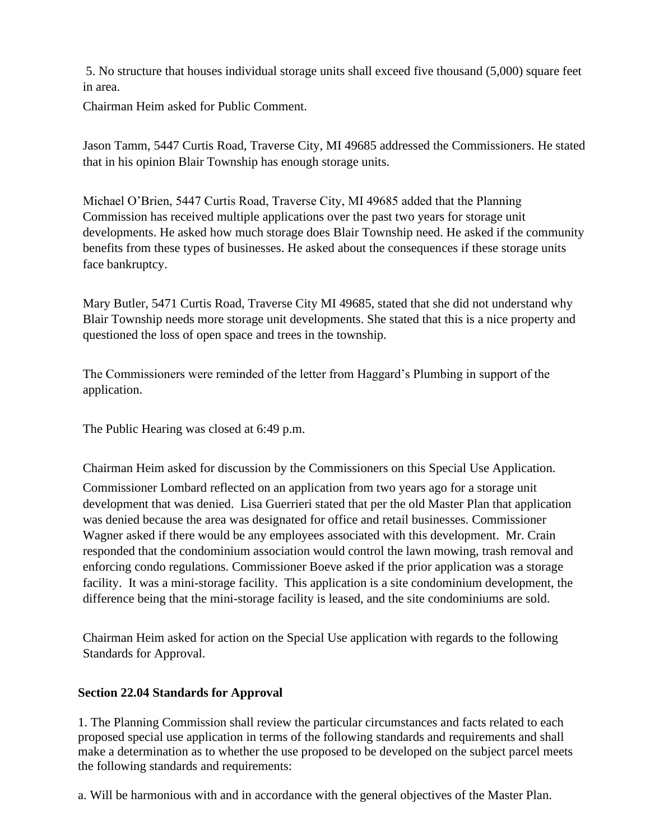5. No structure that houses individual storage units shall exceed five thousand (5,000) square feet in area.

Chairman Heim asked for Public Comment.

Jason Tamm, 5447 Curtis Road, Traverse City, MI 49685 addressed the Commissioners. He stated that in his opinion Blair Township has enough storage units.

Michael O'Brien, 5447 Curtis Road, Traverse City, MI 49685 added that the Planning Commission has received multiple applications over the past two years for storage unit developments. He asked how much storage does Blair Township need. He asked if the community benefits from these types of businesses. He asked about the consequences if these storage units face bankruptcy.

Mary Butler, 5471 Curtis Road, Traverse City MI 49685, stated that she did not understand why Blair Township needs more storage unit developments. She stated that this is a nice property and questioned the loss of open space and trees in the township.

The Commissioners were reminded of the letter from Haggard's Plumbing in support of the application.

The Public Hearing was closed at 6:49 p.m.

Chairman Heim asked for discussion by the Commissioners on this Special Use Application.

Commissioner Lombard reflected on an application from two years ago for a storage unit development that was denied. Lisa Guerrieri stated that per the old Master Plan that application was denied because the area was designated for office and retail businesses. Commissioner Wagner asked if there would be any employees associated with this development. Mr. Crain responded that the condominium association would control the lawn mowing, trash removal and enforcing condo regulations. Commissioner Boeve asked if the prior application was a storage facility. It was a mini-storage facility. This application is a site condominium development, the difference being that the mini-storage facility is leased, and the site condominiums are sold.

Chairman Heim asked for action on the Special Use application with regards to the following Standards for Approval.

#### **Section 22.04 Standards for Approval**

1. The Planning Commission shall review the particular circumstances and facts related to each proposed special use application in terms of the following standards and requirements and shall make a determination as to whether the use proposed to be developed on the subject parcel meets the following standards and requirements:

a. Will be harmonious with and in accordance with the general objectives of the Master Plan.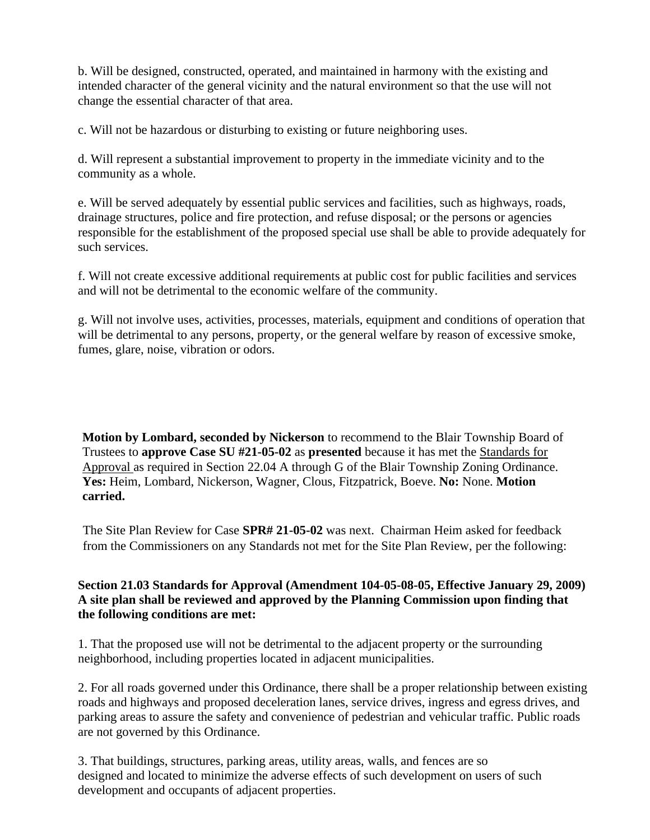b. Will be designed, constructed, operated, and maintained in harmony with the existing and intended character of the general vicinity and the natural environment so that the use will not change the essential character of that area.

c. Will not be hazardous or disturbing to existing or future neighboring uses.

d. Will represent a substantial improvement to property in the immediate vicinity and to the community as a whole.

e. Will be served adequately by essential public services and facilities, such as highways, roads, drainage structures, police and fire protection, and refuse disposal; or the persons or agencies responsible for the establishment of the proposed special use shall be able to provide adequately for such services.

f. Will not create excessive additional requirements at public cost for public facilities and services and will not be detrimental to the economic welfare of the community.

g. Will not involve uses, activities, processes, materials, equipment and conditions of operation that will be detrimental to any persons, property, or the general welfare by reason of excessive smoke, fumes, glare, noise, vibration or odors.

**Motion by Lombard, seconded by Nickerson** to recommend to the Blair Township Board of Trustees to **approve Case SU #21-05-02** as **presented** because it has met the Standards for Approval as required in Section 22.04 A through G of the Blair Township Zoning Ordinance. **Yes:** Heim, Lombard, Nickerson, Wagner, Clous, Fitzpatrick, Boeve. **No:** None. **Motion carried.** 

The Site Plan Review for Case **SPR# 21-05-02** was next. Chairman Heim asked for feedback from the Commissioners on any Standards not met for the Site Plan Review, per the following:

## **Section 21.03 Standards for Approval (Amendment 104-05-08-05, Effective January 29, 2009) A site plan shall be reviewed and approved by the Planning Commission upon finding that the following conditions are met:**

1. That the proposed use will not be detrimental to the adjacent property or the surrounding neighborhood, including properties located in adjacent municipalities.

2. For all roads governed under this Ordinance, there shall be a proper relationship between existing roads and highways and proposed deceleration lanes, service drives, ingress and egress drives, and parking areas to assure the safety and convenience of pedestrian and vehicular traffic. Public roads are not governed by this Ordinance.

3. That buildings, structures, parking areas, utility areas, walls, and fences are so designed and located to minimize the adverse effects of such development on users of such development and occupants of adjacent properties.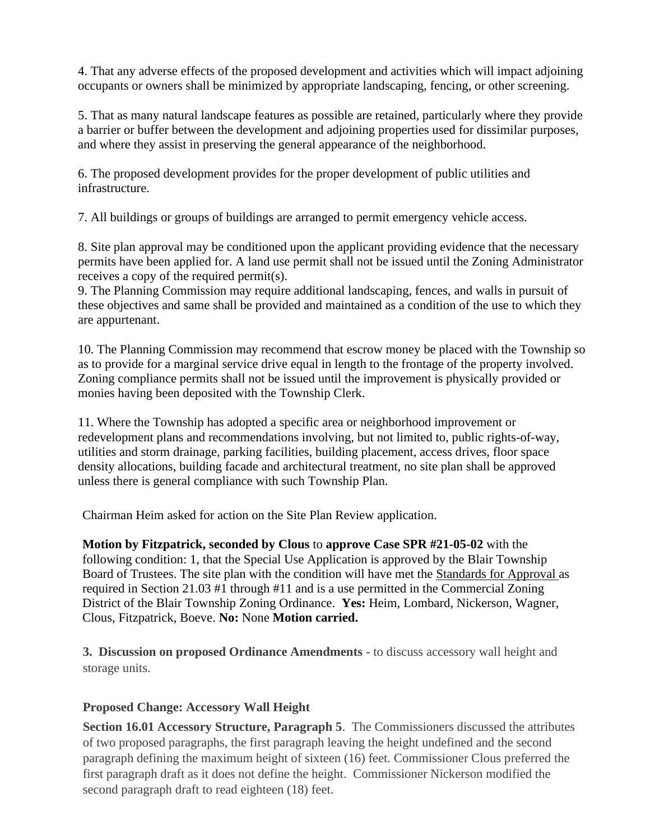4. That any adverse effects of the proposed development and activities which will impact adjoining occupants or owners shall be minimized by appropriate landscaping, fencing, or other screening.

5. That as many natural landscape features as possible are retained, particularly where they provide a barrier or buffer between the development and adjoining properties used for dissimilar purposes, and where they assist in preserving the general appearance of the neighborhood.

6. The proposed development provides for the proper development of public utilities and infrastructure.

7. All buildings or groups of buildings are arranged to permit emergency vehicle access.

8. Site plan approval may be conditioned upon the applicant providing evidence that the necessary permits have been applied for. A land use permit shall not be issued until the Zoning Administrator receives a copy of the required permit(s).

9. The Planning Commission may require additional landscaping, fences, and walls in pursuit of these objectives and same shall be provided and maintained as a condition of the use to which they are appurtenant.

10. The Planning Commission may recommend that escrow money be placed with the Township so as to provide for a marginal service drive equal in length to the frontage of the property involved. Zoning compliance permits shall not be issued until the improvement is physically provided or monies having been deposited with the Township Clerk.

11. Where the Township has adopted a specific area or neighborhood improvement or redevelopment plans and recommendations involving, but not limited to, public rights-of-way, utilities and storm drainage, parking facilities, building placement, access drives, floor space density allocations, building facade and architectural treatment, no site plan shall be approved unless there is general compliance with such Township Plan.

Chairman Heim asked for action on the Site Plan Review application.

**Motion by Fitzpatrick, seconded by Clous** to **approve Case SPR #21-05-02** with the following condition: 1, that the Special Use Application is approved by the Blair Township Board of Trustees. The site plan with the condition will have met the Standards for Approval as required in Section 21.03 #1 through #11 and is a use permitted in the Commercial Zoning District of the Blair Township Zoning Ordinance. **Yes:** Heim, Lombard, Nickerson, Wagner, Clous, Fitzpatrick, Boeve. **No:** None **Motion carried.** 

**3. Discussion on proposed Ordinance Amendments -** to discuss accessory wall height and storage units.

## **Proposed Change: Accessory Wall Height**

**Section 16.01 Accessory Structure, Paragraph 5**. The Commissioners discussed the attributes of two proposed paragraphs, the first paragraph leaving the height undefined and the second paragraph defining the maximum height of sixteen (16) feet. Commissioner Clous preferred the first paragraph draft as it does not define the height. Commissioner Nickerson modified the second paragraph draft to read eighteen (18) feet.